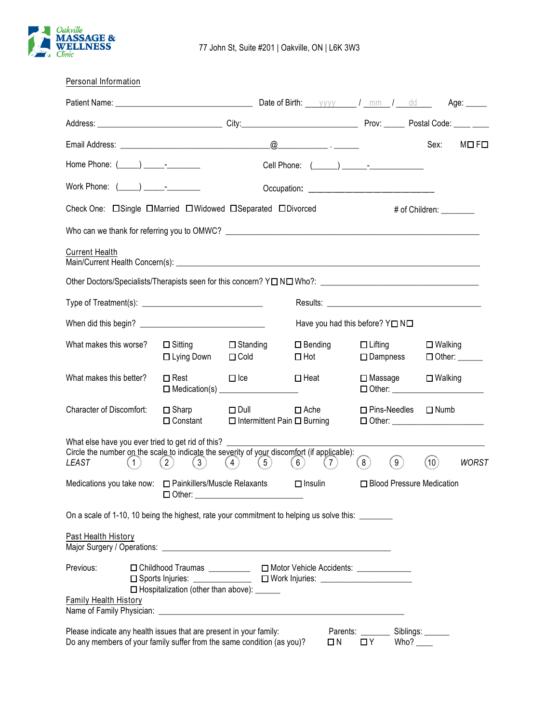

| Personal Information                                                                                                                                                        |                                                                                                                                                                                                             |                                                                        |                                 |                                      |                                                          |
|-----------------------------------------------------------------------------------------------------------------------------------------------------------------------------|-------------------------------------------------------------------------------------------------------------------------------------------------------------------------------------------------------------|------------------------------------------------------------------------|---------------------------------|--------------------------------------|----------------------------------------------------------|
|                                                                                                                                                                             |                                                                                                                                                                                                             |                                                                        |                                 |                                      | Age: _____                                               |
|                                                                                                                                                                             |                                                                                                                                                                                                             |                                                                        |                                 |                                      |                                                          |
|                                                                                                                                                                             |                                                                                                                                                                                                             |                                                                        |                                 |                                      | Sex:<br>MDFD                                             |
| Home Phone: (_____) _____________                                                                                                                                           |                                                                                                                                                                                                             |                                                                        |                                 |                                      |                                                          |
|                                                                                                                                                                             |                                                                                                                                                                                                             |                                                                        |                                 |                                      |                                                          |
|                                                                                                                                                                             |                                                                                                                                                                                                             |                                                                        |                                 |                                      | # of Children: ________                                  |
|                                                                                                                                                                             |                                                                                                                                                                                                             |                                                                        |                                 |                                      |                                                          |
| <b>Current Health</b>                                                                                                                                                       |                                                                                                                                                                                                             |                                                                        |                                 |                                      |                                                          |
|                                                                                                                                                                             |                                                                                                                                                                                                             |                                                                        |                                 |                                      |                                                          |
|                                                                                                                                                                             |                                                                                                                                                                                                             |                                                                        |                                 |                                      |                                                          |
|                                                                                                                                                                             |                                                                                                                                                                                                             |                                                                        | Have you had this before? YONO  |                                      |                                                          |
| What makes this worse?                                                                                                                                                      | $\Box$ Sitting<br>□ Lying Down                                                                                                                                                                              | $\Box$ Standing<br>$\Box$ Cold                                         | $\square$ Bending<br>$\Box$ Hot | $\Box$ Lifting<br>$\square$ Dampness | $\square$ Walking<br>$\Box$ Other: $\_\_\_\_\_\_\_\_\_\$ |
| What makes this better?                                                                                                                                                     | $\square$ Rest                                                                                                                                                                                              | $\Box$ Ice                                                             | $\Box$ Heat                     | $\square$ Massage                    | $\square$ Walking<br>□ Other: _______________________    |
| Character of Discomfort:                                                                                                                                                    | $\Box$ Sharp                                                                                                                                                                                                | $\Box$ Dull<br>$\Box$ Constant $\Box$ Intermittent Pain $\Box$ Burning | $\Box$ Ache                     | $\square$ Pins-Needles               | $\Box$ Numb<br>□ Other: ________________________         |
| What else have you ever tried to get rid of this? __________<br>Circle the number on the scale to indicate the severity of your discomfort (if applicable):<br>LEAST<br>(1) | (2)<br>$\mathbf{3}$                                                                                                                                                                                         | (5)<br>(4)                                                             | 6)<br>$\overline{7}$            | ( 9 )<br>(8)                         | (10)<br><b>WORST</b>                                     |
| Medications you take now: $\Box$ Painkillers/Muscle Relaxants                                                                                                               |                                                                                                                                                                                                             |                                                                        | $\Box$ Insulin                  |                                      | □ Blood Pressure Medication                              |
| On a scale of 1-10, 10 being the highest, rate your commitment to helping us solve this: _______                                                                            |                                                                                                                                                                                                             |                                                                        |                                 |                                      |                                                          |
| Past Health History                                                                                                                                                         |                                                                                                                                                                                                             |                                                                        |                                 |                                      |                                                          |
| Previous:<br><b>Family Health History</b>                                                                                                                                   | □ Childhood Traumas ____________ □ Motor Vehicle Accidents: ____________<br>□ Sports Injuries: _______________ □ Work Injuries: ____________________________<br>□ Hospitalization (other than above): _____ |                                                                        |                                 |                                      |                                                          |
| Please indicate any health issues that are present in your family:<br>Do any members of your family suffer from the same condition (as you)?                                |                                                                                                                                                                                                             |                                                                        | $\Box N$                        | Parents: ______<br>$\Box$ Y          | Siblings:<br>Who? $\_\_\_\_\$                            |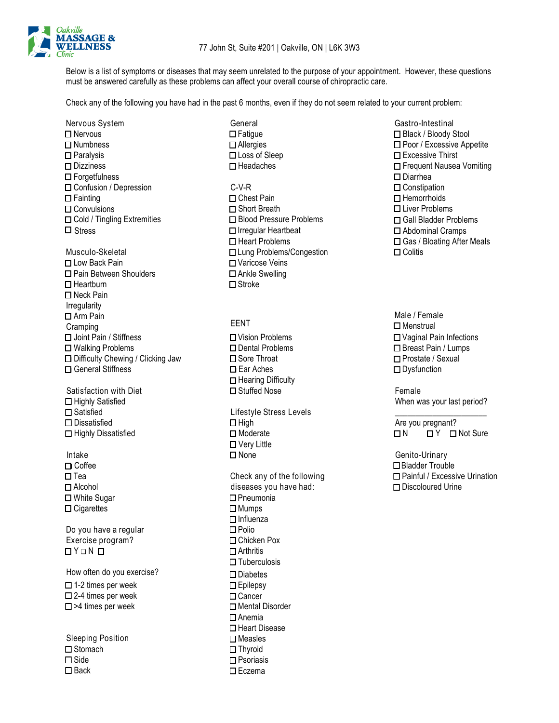

Below is a list of symptoms or diseases that may seem unrelated to the purpose of your appointment. However, these questions must be answered carefully as these problems can affect your overall course of chiropractic care.

Check any of the following you have had in the past 6 months, even if they do not seem related to your current problem:

Nervous System **General** General General General Gastro-Intestinal General General General General General General ❑ Nervous ❑ Numbness ❑ Paralysis ❑ Dizziness ❑ Forgetfulness ❑ Confusion / Depression ❑ Fainting ❑ Convulsions ❑ Cold / Tingling Extremities Stress ❑ Irregular Heartbeat

❑ Low Back Pain ❑ Varicose Veins ❑ Pain Between Shoulders ❑ Ankle Swelling ❑ Heartburn ❑ Stroke ❑ Neck Pain Irregularity ❑ Arm Pain Cramping EENT ❑ Menstrual ❑ Joint Pain / Stiffness ❑ Vision Problems ❑ Walking Problems ❑ Dental Problems ❑ Difficulty Chewing / Clicking Jaw ❑ Sore Throat ❑ General Stiffness ❑ Ear Aches

Satisfaction with Diet <br>
<br>
□ Stuffed Nose Contraction of Female<br>
When w ❑ Satisfied Lifestyle Stress Levels \_\_\_\_\_\_\_\_\_\_\_\_\_\_\_\_\_\_\_\_\_\_

❑ Tea Check any of the following ❑ White Sugar ❑ Pneumonia ❑ Cigarettes ❑ Mumps

Do you have a regular <br>
□ Polio Exercise program? ❑ Chicken Pox  $\square$  Y  $\square$  N  $\square$ 

How often do you exercise? ❑ 1-2 times per week ❑ 2-4 times per week ❑ >4 times per week

Sleeping Position ❑ Stomach ❑ Side ❑ Back

- ❑ Fatigue ❑ Allergies ❑ Loss of Sleep ❑ Headaches
- C-V-R ❑ Chest Pain ❑ Short Breath ❑ Blood Pressure Problems ❑ Heart Problems Musculo-Skeletal ❑ Lung Problems/Congestion

- ❑ Hearing Difficulty
- ❑ Dissatisfied ❑ High Are you pregnant? ❑ Very Little Intake ❑ None Genito-Urinary ❑ Coffee ❑ Bladder Trouble
- ❑ Alcohol diseases you have had: ❑ Influenza ❑ Tuberculosis ❑ Diabetes ❑ Epilepsy ❑ Cancer ❑ Mental Disorder ❑ Anemia ❑ Heart Disease ❑ Measles ❑ Thyroid ❑ Psoriasis ❑ Eczema

❑ Black / Bloody Stool ❑ Poor / Excessive Appetite ❑ Excessive Thirst ❑ Frequent Nausea Vomiting ❑ Diarrhea ❑ Constipation ❑ Hemorrhoids ❑ Liver Problems ❑ Gall Bladder Problems ❑ Abdominal Cramps ❑ Gas / Bloating After Meals ❑ Colitis

Male / Female ❑ Vaginal Pain Infections ❑ Breast Pain / Lumps ❑ Prostate / Sexual ❑ Dysfunction

When was your last period?

❑ Highly Dissatisfied ❑ Moderate ❑ N ❑ Y ❑ Not Sure

❑ Painful / Excessive Urination ❑ Discoloured Urine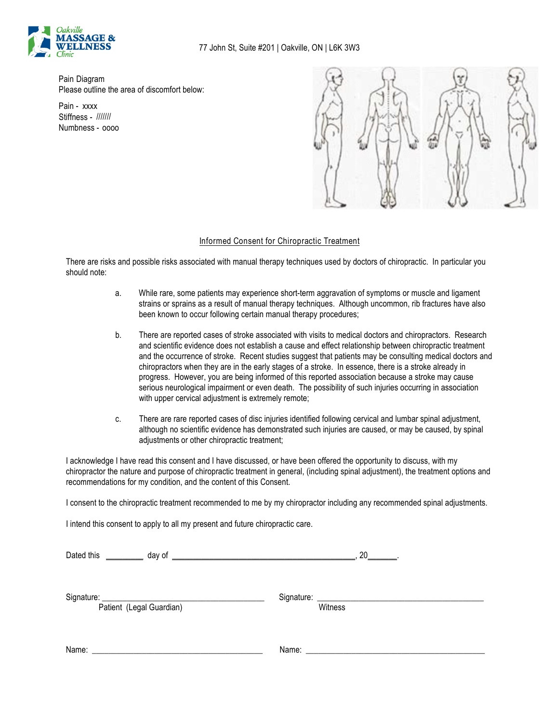

Pain Diagram Please outline the area of discomfort below:

Pain - xxxx Stiffness - /////// Numbness - oooo



## Informed Consent for Chiropractic Treatment

There are risks and possible risks associated with manual therapy techniques used by doctors of chiropractic. In particular you should note:

- a. While rare, some patients may experience short-term aggravation of symptoms or muscle and ligament strains or sprains as a result of manual therapy techniques. Although uncommon, rib fractures have also been known to occur following certain manual therapy procedures;
- b. There are reported cases of stroke associated with visits to medical doctors and chiropractors. Research and scientific evidence does not establish a cause and effect relationship between chiropractic treatment and the occurrence of stroke. Recent studies suggest that patients may be consulting medical doctors and chiropractors when they are in the early stages of a stroke. In essence, there is a stroke already in progress. However, you are being informed of this reported association because a stroke may cause serious neurological impairment or even death. The possibility of such injuries occurring in association with upper cervical adjustment is extremely remote;
- c. There are rare reported cases of disc injuries identified following cervical and lumbar spinal adjustment, although no scientific evidence has demonstrated such injuries are caused, or may be caused, by spinal adjustments or other chiropractic treatment;

I acknowledge I have read this consent and I have discussed, or have been offered the opportunity to discuss, with my chiropractor the nature and purpose of chiropractic treatment in general, (including spinal adjustment), the treatment options and recommendations for my condition, and the content of this Consent.

I consent to the chiropractic treatment recommended to me by my chiropractor including any recommended spinal adjustments.

I intend this consent to apply to all my present and future chiropractic care.

| Dated this |                                                                                                                     | 20      |  |
|------------|---------------------------------------------------------------------------------------------------------------------|---------|--|
|            | Patient (Legal Guardian)                                                                                            | Witness |  |
| Name:      | <u> 1980 - Jan Samuel Barbara, margaret e populazion del control de la provincia de la provincia del control de</u> |         |  |